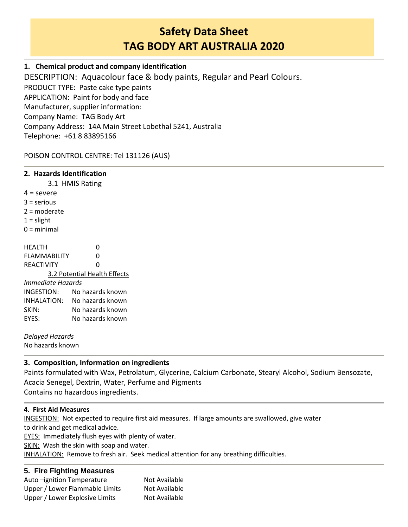# **Safety Data Sheet TAG BODY ART AUSTRALIA 2020**

# **1. Chemical product and company identification**

DESCRIPTION: Aquacolour face & body paints, Regular and Pearl Colours. PRODUCT TYPE: Paste cake type paints APPLICATION: Paint for body and face Manufacturer, supplier information: Company Name: TAG Body Art Company Address: 14A Main Street Lobethal 5241, Australia Telephone: +61 8 83895166

# POISON CONTROL CENTRE: Tel 131126 (AUS)

## **2. Hazards Identification**

3.1 HMIS Rating

- $4 =$  severe
- 3 = serious
- 2 = moderate
- $1 =$  slight
- 0 = minimal

HEALTH 0 FLAMMABILITY 0 REACTIVITY 0 3.2 Potential Health Effects *Immediate Hazards* INGESTION: No hazards known INHALATION: No hazards known SKIN: No hazards known EYES: No hazards known

*Delayed Hazards*

No hazards known

# **3. Composition, Information on ingredients**

Paints formulated with Wax, Petrolatum, Glycerine, Calcium Carbonate, Stearyl Alcohol, Sodium Bensozate, Acacia Senegel, Dextrin, Water, Perfume and Pigments Contains no hazardous ingredients.

## **4. First Aid Measures**

INGESTION: Not expected to require first aid measures. If large amounts are swallowed, give water to drink and get medical advice.

EYES: Immediately flush eyes with plenty of water.

SKIN: Wash the skin with soap and water.

INHALATION: Remove to fresh air. Seek medical attention for any breathing difficulties.

## **5. Fire Fighting Measures**

| Not Available |
|---------------|
| Not Available |
| Not Available |
|               |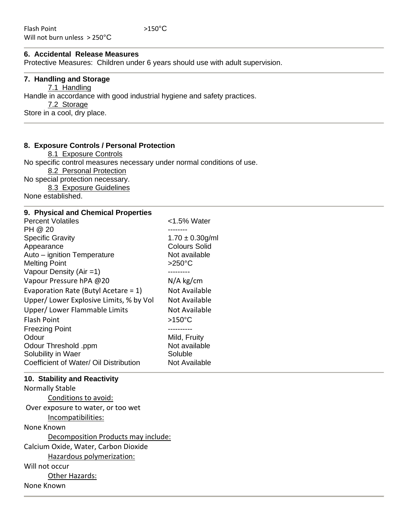## **6. Accidental Release Measures**

Protective Measures: Children under 6 years should use with adult supervision.

#### **7. Handling and Storage**

7.1 Handling Handle in accordance with good industrial hygiene and safety practices. 7.2 Storage Store in a cool, dry place.

#### **8. Exposure Controls / Personal Protection**

8.1 Exposure Controls No specific control measures necessary under normal conditions of use. 8.2 Personal Protection No special protection necessary. 8.3 Exposure Guidelines None established.

#### **9. Physical and Chemical Properties**

| <b>Percent Volatiles</b>                | <1.5% Water          |
|-----------------------------------------|----------------------|
| PH @ 20                                 | -------              |
| <b>Specific Gravity</b>                 | $1.70 \pm 0.30$ g/ml |
| Appearance                              | <b>Colours Solid</b> |
| Auto - ignition Temperature             | Not available        |
| <b>Melting Point</b>                    | $>250^{\circ}$ C     |
| Vapour Density (Air $=1$ )              | .                    |
| Vapour Pressure hPA @20                 | $N/A$ kg/cm          |
| Evaporation Rate (Butyl Acetare = $1$ ) | Not Available        |
| Upper/Lower Explosive Limits, % by Vol  | Not Available        |
| Upper/Lower Flammable Limits            | Not Available        |
| <b>Flash Point</b>                      | $>150^{\circ}$ C     |
| <b>Freezing Point</b>                   | ---------            |
| Odour                                   | Mild, Fruity         |
| Odour Threshold .ppm                    | Not available        |
| Solubility in Waer                      | Soluble              |
| Coefficient of Water/ Oil Distribution  | Not Available        |
|                                         |                      |

#### **10. Stability and Reactivity**

Normally Stable Conditions to avoid: Over exposure to water, or too wet Incompatibilities: None Known Decomposition Products may include: Calcium Oxide, Water, Carbon Dioxide Hazardous polymerization: Will not occur Other Hazards: None Known